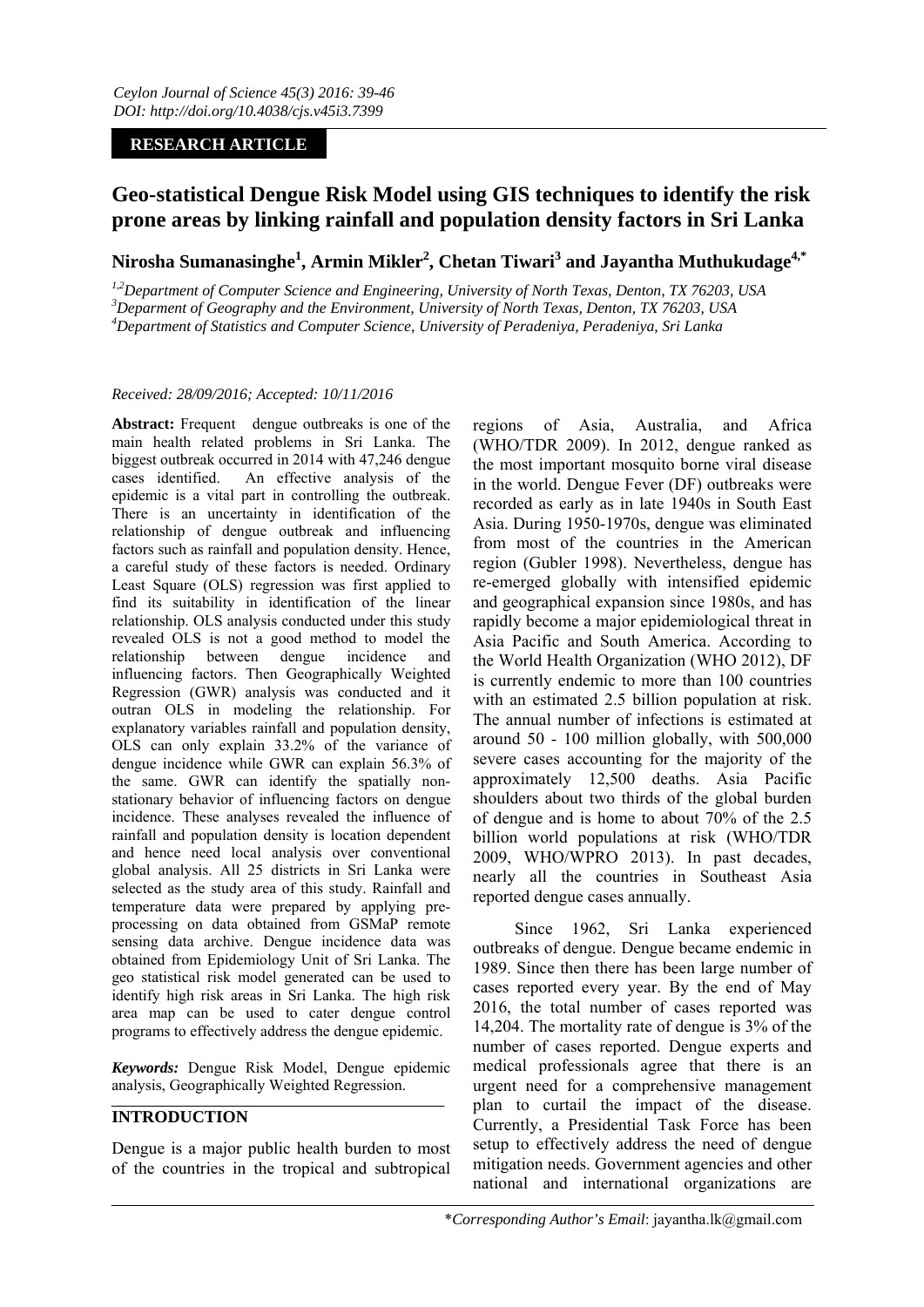## **RESEARCH ARTICLE**

# **Geo-statistical Dengue Risk Model using GIS techniques to identify the risk prone areas by linking rainfall and population density factors in Sri Lanka**

**Nirosha Sumanasinghe1 , Armin Mikler<sup>2</sup> , Chetan Tiwari<sup>3</sup> and Jayantha Muthukudage4,\*** 

<sup>1,2</sup>Department of Computer Science and Engineering, University of North Texas, Denton, TX 76203, USA *Deparment of Geography and the Environment, University of North Texas, Denton, TX 76203, USA 4 Department of Statistics and Computer Science, University of Peradeniya, Peradeniya, Sri Lanka* 

#### *Received: 28/09/2016; Accepted: 10/11/2016*

Abstract: Frequent dengue outbreaks is one of the main health related problems in Sri Lanka. The biggest outbreak occurred in 2014 with 47,246 dengue cases identified. An effective analysis of the epidemic is a vital part in controlling the outbreak. There is an uncertainty in identification of the relationship of dengue outbreak and influencing factors such as rainfall and population density. Hence, a careful study of these factors is needed. Ordinary Least Square (OLS) regression was first applied to find its suitability in identification of the linear relationship. OLS analysis conducted under this study revealed OLS is not a good method to model the relationship between dengue incidence and influencing factors. Then Geographically Weighted Regression (GWR) analysis was conducted and it outran OLS in modeling the relationship. For explanatory variables rainfall and population density, OLS can only explain 33.2% of the variance of dengue incidence while GWR can explain 56.3% of the same. GWR can identify the spatially nonstationary behavior of influencing factors on dengue incidence. These analyses revealed the influence of rainfall and population density is location dependent and hence need local analysis over conventional global analysis. All 25 districts in Sri Lanka were selected as the study area of this study. Rainfall and temperature data were prepared by applying preprocessing on data obtained from GSMaP remote sensing data archive. Dengue incidence data was obtained from Epidemiology Unit of Sri Lanka. The geo statistical risk model generated can be used to identify high risk areas in Sri Lanka. The high risk area map can be used to cater dengue control programs to effectively address the dengue epidemic.

*Keywords:* Dengue Risk Model, Dengue epidemic analysis, Geographically Weighted Regression.

## **INTRODUCTION**

Dengue is a major public health burden to most of the countries in the tropical and subtropical

regions of Asia, Australia, and Africa (WHO/TDR 2009). In 2012, dengue ranked as the most important mosquito borne viral disease in the world. Dengue Fever (DF) outbreaks were recorded as early as in late 1940s in South East Asia. During 1950-1970s, dengue was eliminated from most of the countries in the American region (Gubler 1998). Nevertheless, dengue has re-emerged globally with intensified epidemic and geographical expansion since 1980s, and has rapidly become a major epidemiological threat in Asia Pacific and South America. According to the World Health Organization (WHO 2012), DF is currently endemic to more than 100 countries with an estimated 2.5 billion population at risk. The annual number of infections is estimated at around 50 - 100 million globally, with 500,000 severe cases accounting for the majority of the approximately 12,500 deaths. Asia Pacific shoulders about two thirds of the global burden of dengue and is home to about 70% of the 2.5 billion world populations at risk (WHO/TDR 2009, WHO/WPRO 2013). In past decades, nearly all the countries in Southeast Asia reported dengue cases annually.

Since 1962, Sri Lanka experienced outbreaks of dengue. Dengue became endemic in 1989. Since then there has been large number of cases reported every year. By the end of May 2016, the total number of cases reported was 14,204. The mortality rate of dengue is 3% of the number of cases reported. Dengue experts and medical professionals agree that there is an urgent need for a comprehensive management plan to curtail the impact of the disease. Currently, a Presidential Task Force has been setup to effectively address the need of dengue mitigation needs. Government agencies and other national and international organizations are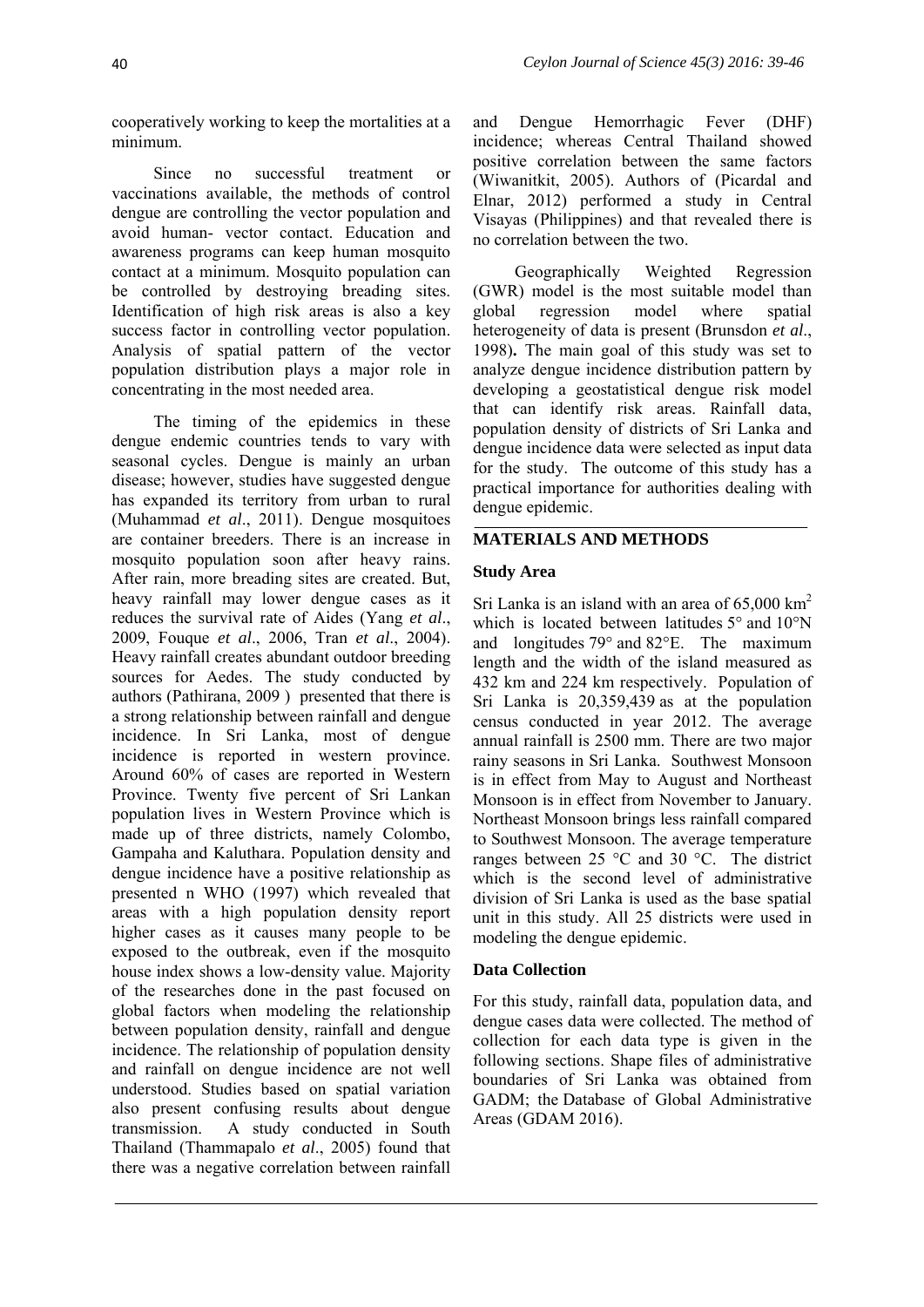cooperatively working to keep the mortalities at a minimum.

Since no successful treatment or vaccinations available, the methods of control dengue are controlling the vector population and avoid human- vector contact. Education and awareness programs can keep human mosquito contact at a minimum. Mosquito population can be controlled by destroying breading sites. Identification of high risk areas is also a key success factor in controlling vector population. Analysis of spatial pattern of the vector population distribution plays a major role in concentrating in the most needed area.

The timing of the epidemics in these dengue endemic countries tends to vary with seasonal cycles. Dengue is mainly an urban disease; however, studies have suggested dengue has expanded its territory from urban to rural (Muhammad *et al*., 2011). Dengue mosquitoes are container breeders. There is an increase in mosquito population soon after heavy rains. After rain, more breading sites are created. But, heavy rainfall may lower dengue cases as it reduces the survival rate of Aides (Yang *et al*., 2009, Fouque *et al*., 2006, Tran *et al*., 2004). Heavy rainfall creates abundant outdoor breeding sources for Aedes. The study conducted by authors (Pathirana, 2009 ) presented that there is a strong relationship between rainfall and dengue incidence. In Sri Lanka, most of dengue incidence is reported in western province. Around 60% of cases are reported in Western Province. Twenty five percent of Sri Lankan population lives in Western Province which is made up of three districts, namely Colombo, Gampaha and Kaluthara. Population density and dengue incidence have a positive relationship as presented n WHO (1997) which revealed that areas with a high population density report higher cases as it causes many people to be exposed to the outbreak, even if the mosquito house index shows a low-density value. Majority of the researches done in the past focused on global factors when modeling the relationship between population density, rainfall and dengue incidence. The relationship of population density and rainfall on dengue incidence are not well understood. Studies based on spatial variation also present confusing results about dengue transmission. A study conducted in South Thailand (Thammapalo *et al*., 2005) found that there was a negative correlation between rainfall

and Dengue Hemorrhagic Fever (DHF) incidence; whereas Central Thailand showed positive correlation between the same factors (Wiwanitkit, 2005). Authors of (Picardal and Elnar, 2012) performed a study in Central Visayas (Philippines) and that revealed there is no correlation between the two.

Geographically Weighted Regression (GWR) model is the most suitable model than global regression model where spatial heterogeneity of data is present (Brunsdon *et al*., 1998)**.** The main goal of this study was set to analyze dengue incidence distribution pattern by developing a geostatistical dengue risk model that can identify risk areas. Rainfall data, population density of districts of Sri Lanka and dengue incidence data were selected as input data for the study. The outcome of this study has a practical importance for authorities dealing with dengue epidemic.

## **MATERIALS AND METHODS**

#### **Study Area**

Sri Lanka is an island with an area of  $65,000 \text{ km}^2$ which is located between latitudes 5° and 10°N and longitudes 79° and 82°E. The maximum length and the width of the island measured as 432 km and 224 km respectively. Population of Sri Lanka is 20,359,439 as at the population census conducted in year 2012. The average annual rainfall is 2500 mm. There are two major rainy seasons in Sri Lanka. Southwest Monsoon is in effect from May to August and Northeast Monsoon is in effect from November to January. Northeast Monsoon brings less rainfall compared to Southwest Monsoon. The average temperature ranges between 25 °C and 30 °C. The district which is the second level of administrative division of Sri Lanka is used as the base spatial unit in this study. All 25 districts were used in modeling the dengue epidemic.

#### **Data Collection**

For this study, rainfall data, population data, and dengue cases data were collected. The method of collection for each data type is given in the following sections. Shape files of administrative boundaries of Sri Lanka was obtained from GADM; the Database of Global Administrative Areas (GDAM 2016).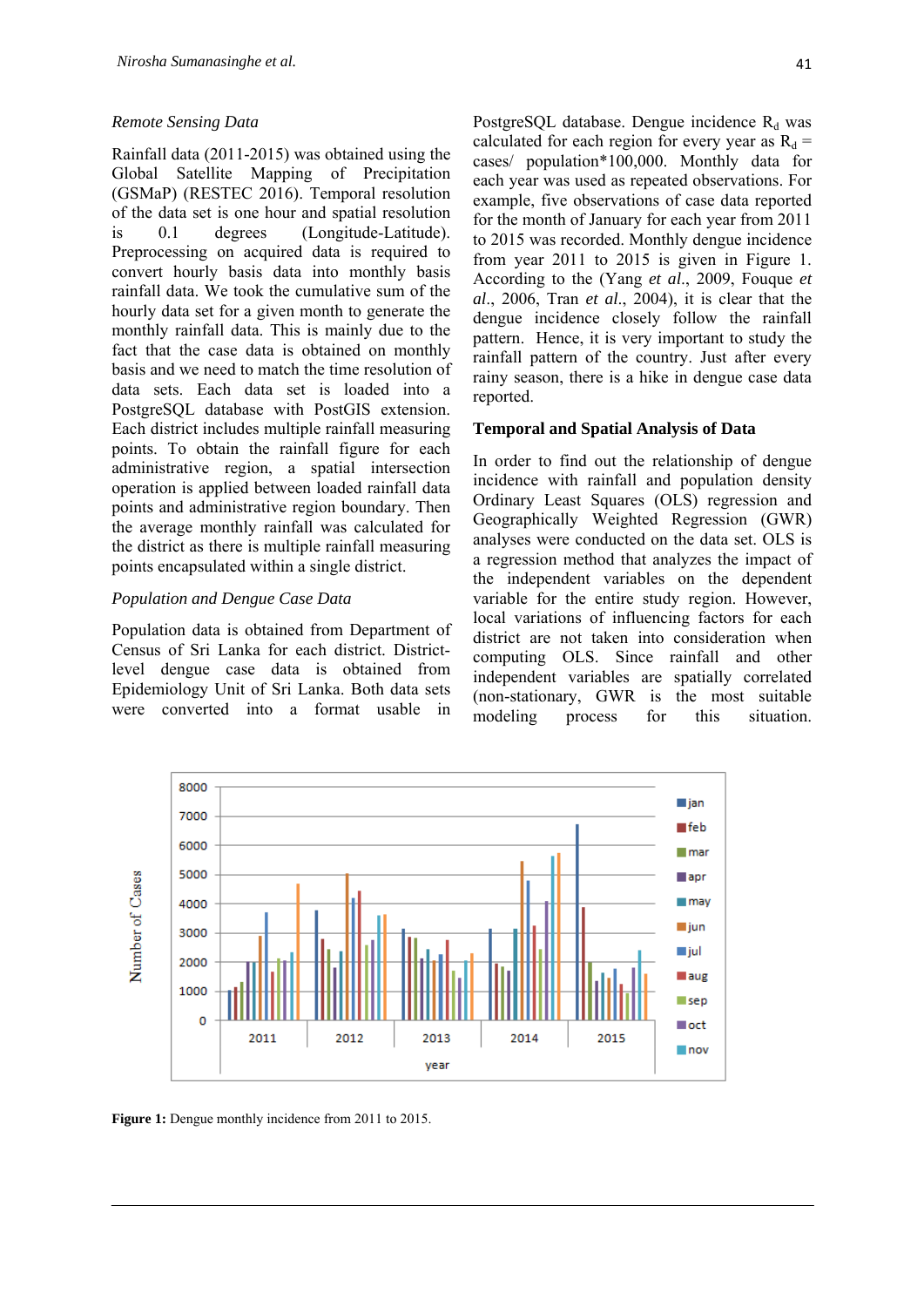#### *Remote Sensing Data*

Rainfall data (2011-2015) was obtained using the Global Satellite Mapping of Precipitation (GSMaP) (RESTEC 2016). Temporal resolution of the data set is one hour and spatial resolution is 0.1 degrees (Longitude-Latitude). Preprocessing on acquired data is required to convert hourly basis data into monthly basis rainfall data. We took the cumulative sum of the hourly data set for a given month to generate the monthly rainfall data. This is mainly due to the fact that the case data is obtained on monthly basis and we need to match the time resolution of data sets. Each data set is loaded into a PostgreSQL database with PostGIS extension. Each district includes multiple rainfall measuring points. To obtain the rainfall figure for each administrative region, a spatial intersection operation is applied between loaded rainfall data points and administrative region boundary. Then the average monthly rainfall was calculated for the district as there is multiple rainfall measuring points encapsulated within a single district.

## *Population and Dengue Case Data*

Population data is obtained from Department of Census of Sri Lanka for each district. Districtlevel dengue case data is obtained from Epidemiology Unit of Sri Lanka. Both data sets were converted into a format usable in

PostgreSQL database. Dengue incidence  $R_d$  was calculated for each region for every year as  $R_d$  = cases/ population\*100,000. Monthly data for each year was used as repeated observations. For example, five observations of case data reported for the month of January for each year from 2011 to 2015 was recorded. Monthly dengue incidence from year 2011 to 2015 is given in Figure 1. According to the (Yang *et al*., 2009, Fouque *et al*., 2006, Tran *et al*., 2004), it is clear that the dengue incidence closely follow the rainfall pattern. Hence, it is very important to study the rainfall pattern of the country. Just after every rainy season, there is a hike in dengue case data

#### **Temporal and Spatial Analysis of Data**

reported.

In order to find out the relationship of dengue incidence with rainfall and population density Ordinary Least Squares (OLS) regression and Geographically Weighted Regression (GWR) analyses were conducted on the data set. OLS is a regression method that analyzes the impact of the independent variables on the dependent variable for the entire study region. However, local variations of influencing factors for each district are not taken into consideration when computing OLS. Since rainfall and other independent variables are spatially correlated (non-stationary, GWR is the most suitable modeling process for this situation.



**Figure 1:** Dengue monthly incidence from 2011 to 2015.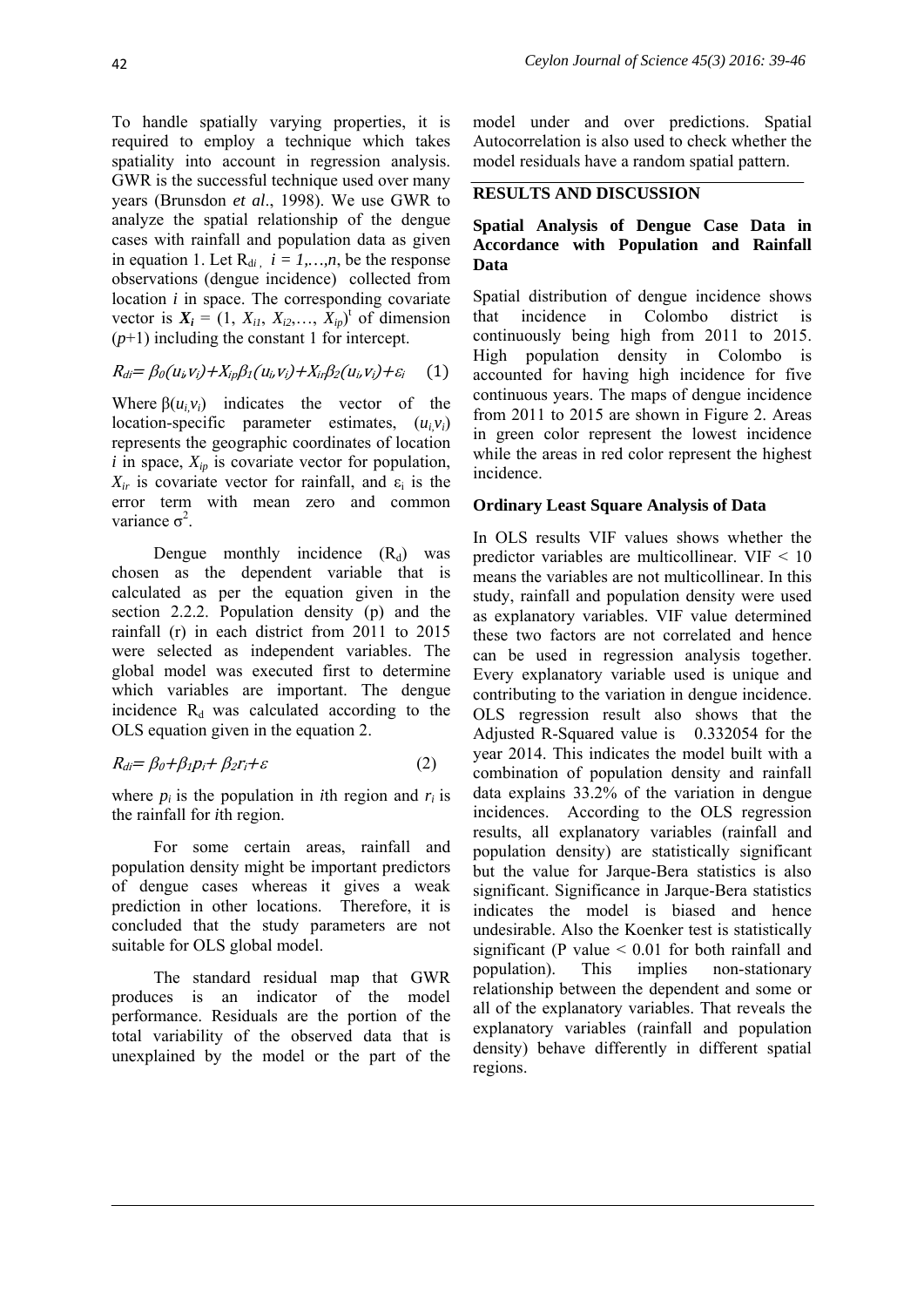To handle spatially varying properties, it is required to employ a technique which takes spatiality into account in regression analysis. GWR is the successful technique used over many years (Brunsdon *et al*., 1998). We use GWR to analyze the spatial relationship of the dengue cases with rainfall and population data as given in equation 1. Let  $R_{di}$ ,  $i = 1,...,n$ , be the response observations (dengue incidence) collected from location *i* in space. The corresponding covariate vector is  $X_i = (1, X_{i1}, X_{i2}, \dots, X_{ip})^t$  of dimension  $(p+1)$  including the constant 1 for intercept.

$$
R_{di} = \beta_0(u_i, v_i) + X_{ip}\beta_1(u_i, v_i) + X_{ir}\beta_2(u_i, v_i) + \varepsilon_i \qquad (1)
$$

Where  $\beta(u_i, v_i)$  indicates the vector of the location-specific parameter estimates, (*ui,vi*) represents the geographic coordinates of location  $i$  in space,  $X_{ip}$  is covariate vector for population,  $X_{ir}$  is covariate vector for rainfall, and  $\varepsilon_i$  is the error term with mean zero and common variance  $σ²$ .

Dengue monthly incidence  $(R_d)$  was chosen as the dependent variable that is calculated as per the equation given in the section 2.2.2. Population density (p) and the rainfall (r) in each district from 2011 to 2015 were selected as independent variables. The global model was executed first to determine which variables are important. The dengue incidence  $R_d$  was calculated according to the OLS equation given in the equation 2.

$$
R_{di} = \beta_0 + \beta_1 p_i + \beta_2 r_i + \varepsilon \tag{2}
$$

where  $p_i$  is the population in *i*th region and  $r_i$  is the rainfall for *i*th region.

For some certain areas, rainfall and population density might be important predictors of dengue cases whereas it gives a weak prediction in other locations. Therefore, it is concluded that the study parameters are not suitable for OLS global model.

The standard residual map that GWR produces is an indicator of the model performance. Residuals are the portion of the total variability of the observed data that is unexplained by the model or the part of the model under and over predictions. Spatial Autocorrelation is also used to check whether the model residuals have a random spatial pattern.

#### **RESULTS AND DISCUSSION**

### **Spatial Analysis of Dengue Case Data in Accordance with Population and Rainfall Data**

Spatial distribution of dengue incidence shows that incidence in Colombo district is continuously being high from 2011 to 2015. High population density in Colombo is accounted for having high incidence for five continuous years. The maps of dengue incidence from 2011 to 2015 are shown in Figure 2. Areas in green color represent the lowest incidence while the areas in red color represent the highest incidence.

#### **Ordinary Least Square Analysis of Data**

In OLS results VIF values shows whether the predictor variables are multicollinear.  $VIF \le 10$ means the variables are not multicollinear. In this study, rainfall and population density were used as explanatory variables. VIF value determined these two factors are not correlated and hence can be used in regression analysis together. Every explanatory variable used is unique and contributing to the variation in dengue incidence. OLS regression result also shows that the Adjusted R-Squared value is 0.332054 for the year 2014. This indicates the model built with a combination of population density and rainfall data explains 33.2% of the variation in dengue incidences. According to the OLS regression results, all explanatory variables (rainfall and population density) are statistically significant but the value for Jarque-Bera statistics is also significant. Significance in Jarque-Bera statistics indicates the model is biased and hence undesirable. Also the Koenker test is statistically significant (P value  $\leq 0.01$  for both rainfall and population). This implies non-stationary relationship between the dependent and some or all of the explanatory variables. That reveals the explanatory variables (rainfall and population density) behave differently in different spatial regions.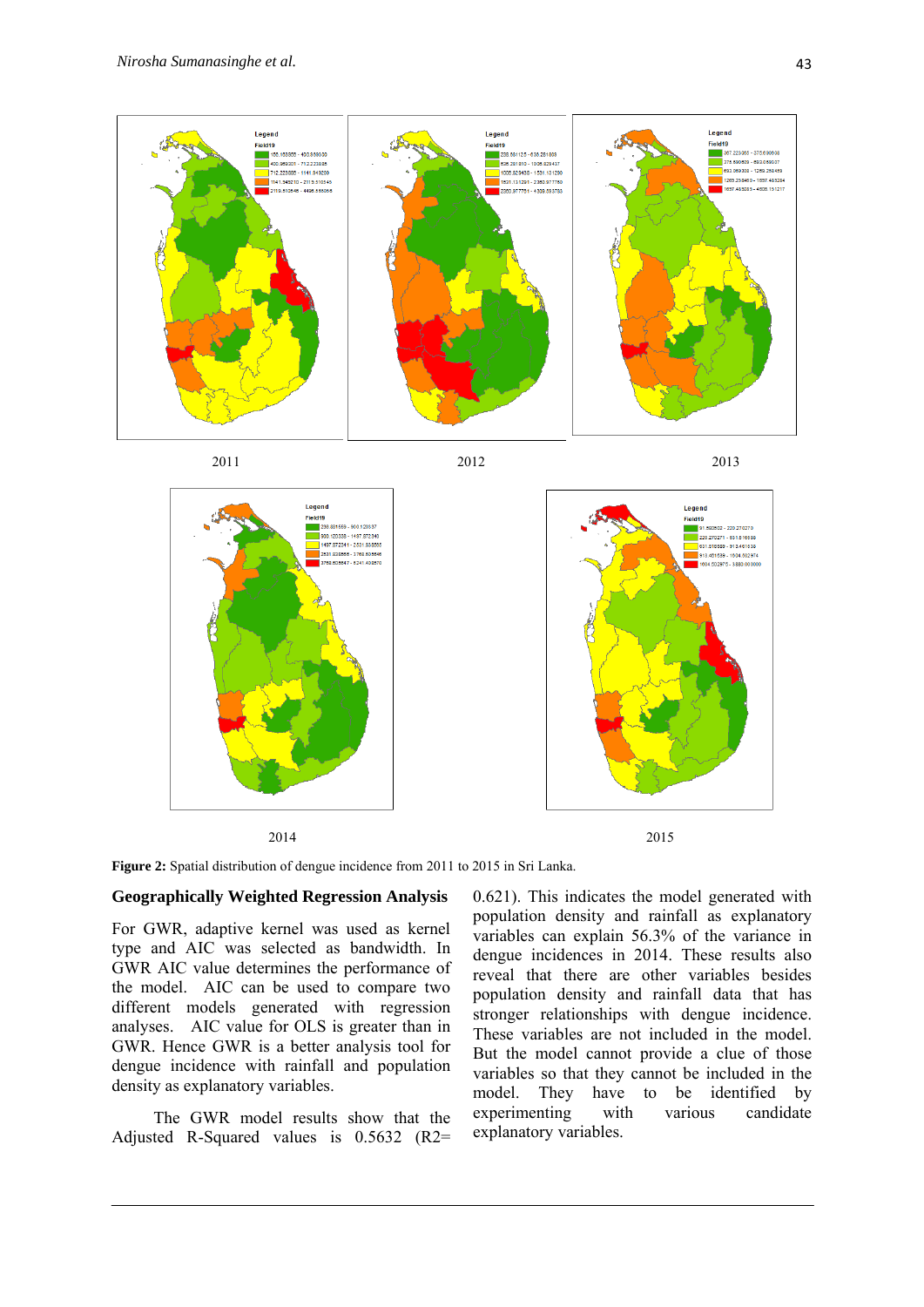

2014 2015

**Figure 2:** Spatial distribution of dengue incidence from 2011 to 2015 in Sri Lanka.

#### **Geographically Weighted Regression Analysis**

For GWR, adaptive kernel was used as kernel type and AIC was selected as bandwidth. In GWR AIC value determines the performance of the model. AIC can be used to compare two different models generated with regression analyses. AIC value for OLS is greater than in GWR. Hence GWR is a better analysis tool for dengue incidence with rainfall and population density as explanatory variables.

The GWR model results show that the Adjusted R-Squared values is 0.5632 (R2=

0.621). This indicates the model generated with population density and rainfall as explanatory variables can explain 56.3% of the variance in dengue incidences in 2014. These results also reveal that there are other variables besides population density and rainfall data that has stronger relationships with dengue incidence. These variables are not included in the model. But the model cannot provide a clue of those variables so that they cannot be included in the model. They have to be identified by experimenting with various candidate explanatory variables.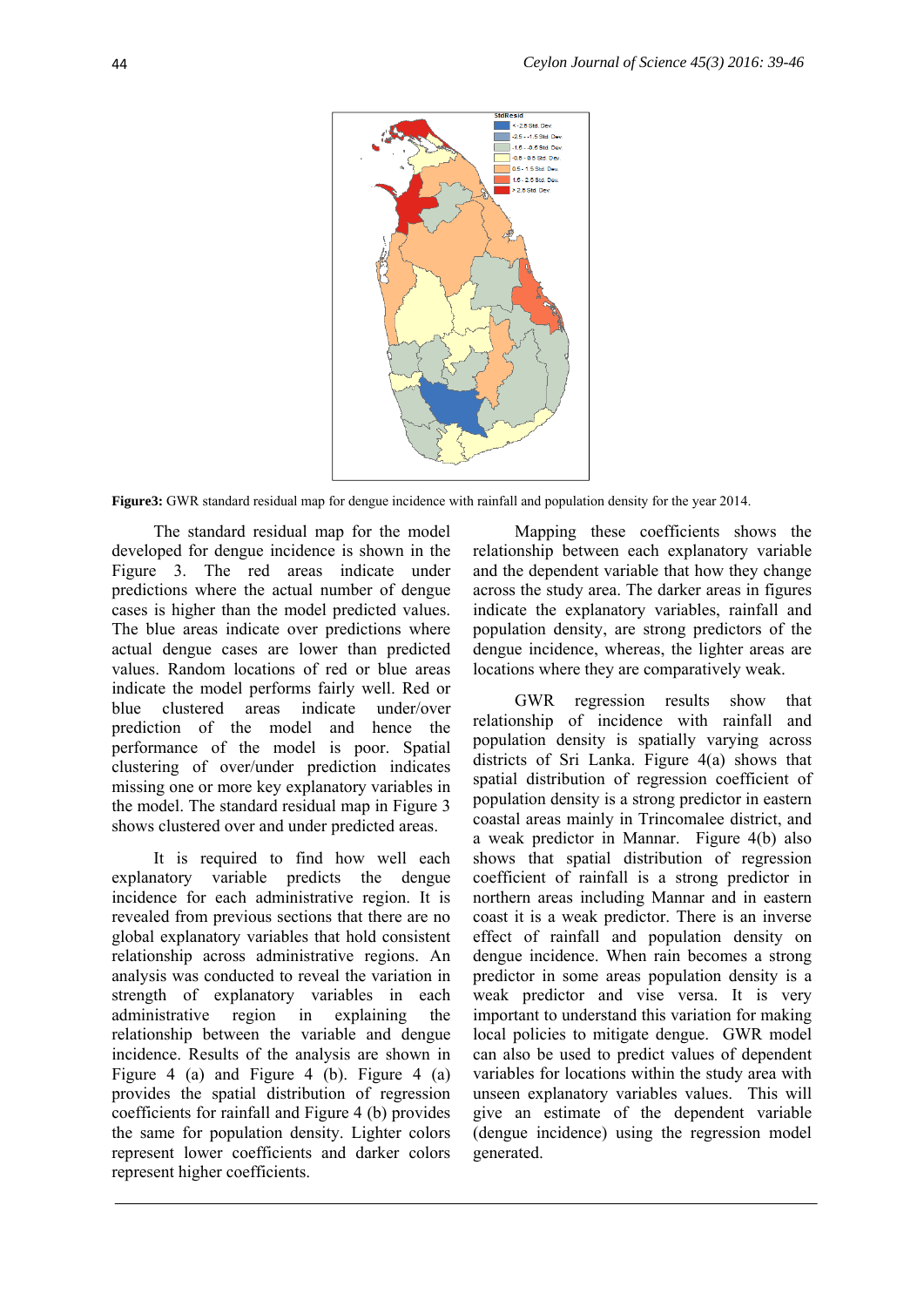

**Figure3:** GWR standard residual map for dengue incidence with rainfall and population density for the year 2014.

The standard residual map for the model developed for dengue incidence is shown in the Figure 3. The red areas indicate under predictions where the actual number of dengue cases is higher than the model predicted values. The blue areas indicate over predictions where actual dengue cases are lower than predicted values. Random locations of red or blue areas indicate the model performs fairly well. Red or blue clustered areas indicate under/over prediction of the model and hence the performance of the model is poor. Spatial clustering of over/under prediction indicates missing one or more key explanatory variables in the model. The standard residual map in Figure 3 shows clustered over and under predicted areas.

It is required to find how well each explanatory variable predicts the dengue incidence for each administrative region. It is revealed from previous sections that there are no global explanatory variables that hold consistent relationship across administrative regions. An analysis was conducted to reveal the variation in strength of explanatory variables in each administrative region in explaining the relationship between the variable and dengue incidence. Results of the analysis are shown in Figure 4 (a) and Figure 4 (b). Figure 4 (a) provides the spatial distribution of regression coefficients for rainfall and Figure 4 (b) provides the same for population density. Lighter colors represent lower coefficients and darker colors represent higher coefficients.

Mapping these coefficients shows the relationship between each explanatory variable and the dependent variable that how they change across the study area. The darker areas in figures indicate the explanatory variables, rainfall and population density, are strong predictors of the dengue incidence, whereas, the lighter areas are locations where they are comparatively weak.

GWR regression results show that relationship of incidence with rainfall and population density is spatially varying across districts of Sri Lanka. Figure 4(a) shows that spatial distribution of regression coefficient of population density is a strong predictor in eastern coastal areas mainly in Trincomalee district, and a weak predictor in Mannar. Figure 4(b) also shows that spatial distribution of regression coefficient of rainfall is a strong predictor in northern areas including Mannar and in eastern coast it is a weak predictor. There is an inverse effect of rainfall and population density on dengue incidence. When rain becomes a strong predictor in some areas population density is a weak predictor and vise versa. It is very important to understand this variation for making local policies to mitigate dengue. GWR model can also be used to predict values of dependent variables for locations within the study area with unseen explanatory variables values. This will give an estimate of the dependent variable (dengue incidence) using the regression model generated.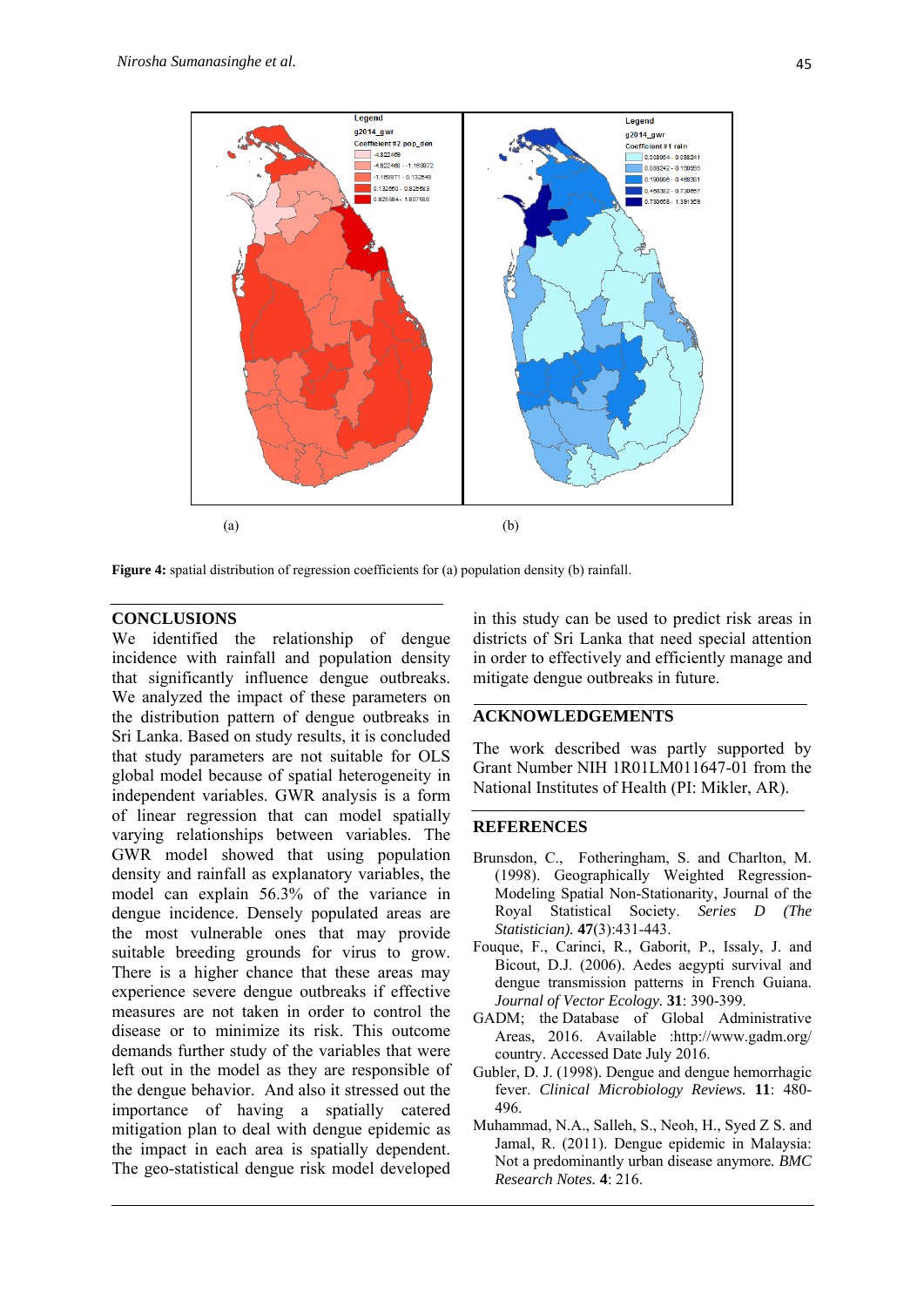

**Figure 4:** spatial distribution of regression coefficients for (a) population density (b) rainfall.

#### **CONCLUSIONS**

We identified the relationship of dengue incidence with rainfall and population density that significantly influence dengue outbreaks. We analyzed the impact of these parameters on the distribution pattern of dengue outbreaks in Sri Lanka. Based on study results, it is concluded that study parameters are not suitable for OLS global model because of spatial heterogeneity in independent variables. GWR analysis is a form of linear regression that can model spatially varying relationships between variables. The GWR model showed that using population density and rainfall as explanatory variables, the model can explain 56.3% of the variance in dengue incidence. Densely populated areas are the most vulnerable ones that may provide suitable breeding grounds for virus to grow. There is a higher chance that these areas may experience severe dengue outbreaks if effective measures are not taken in order to control the disease or to minimize its risk. This outcome demands further study of the variables that were left out in the model as they are responsible of the dengue behavior. And also it stressed out the importance of having a spatially catered mitigation plan to deal with dengue epidemic as the impact in each area is spatially dependent. The geo-statistical dengue risk model developed

in this study can be used to predict risk areas in districts of Sri Lanka that need special attention in order to effectively and efficiently manage and mitigate dengue outbreaks in future.

#### **ACKNOWLEDGEMENTS**

The work described was partly supported by Grant Number NIH 1R01LM011647-01 from the National Institutes of Health (PI: Mikler, AR).

#### **REFERENCES**

- Brunsdon, C., Fotheringham, S. and Charlton, M. (1998). Geographically Weighted Regression-Modeling Spatial Non-Stationarity, Journal of the Royal Statistical Society. *Series D (The Statistician).* **47**(3):431-443.
- Fouque, F., Carinci, R., Gaborit, P., Issaly, J. and Bicout, D.J. (2006). Aedes aegypti survival and dengue transmission patterns in French Guiana. *Journal of Vector Ecology.* **31**: 390-399.
- GADM; the Database of Global Administrative Areas, 2016. Available :http://www.gadm.org/ country. Accessed Date July 2016.
- Gubler, D. J. (1998). Dengue and dengue hemorrhagic fever. *Clinical Microbiology Reviews.* **11**: 480- 496.
- Muhammad, N.A., Salleh, S., Neoh, H., Syed Z S. and Jamal, R. (2011). Dengue epidemic in Malaysia: Not a predominantly urban disease anymore*. BMC Research Notes.* **4**: 216.